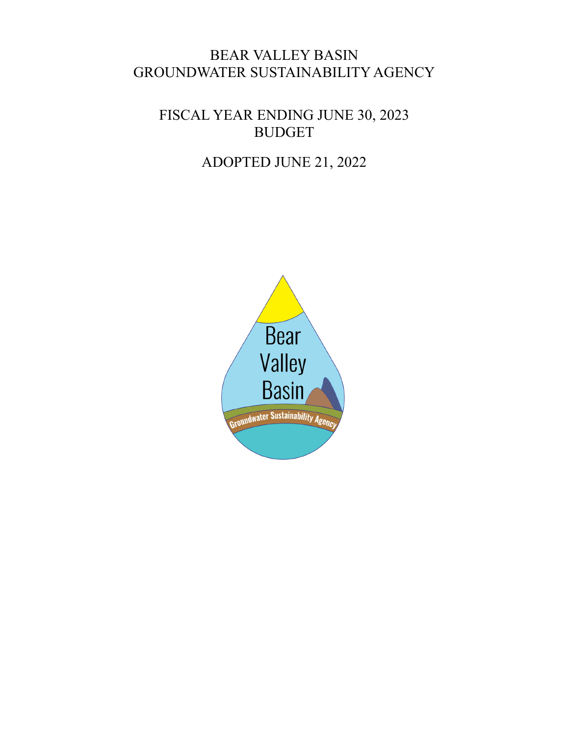### BEAR VALLEY BASIN GROUNDWATER SUSTAINABILITY AGENCY

FISCAL YEAR ENDING JUNE 30, 2023 BUDGET

## ADOPTED JUNE 21, 2022

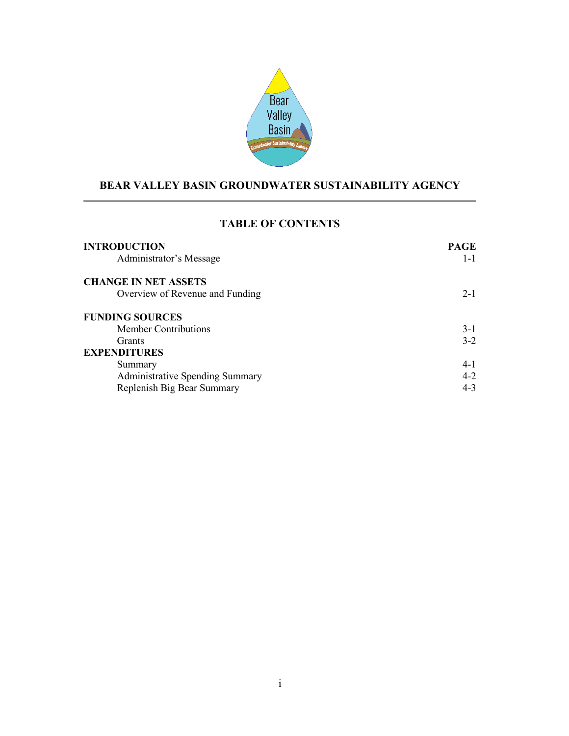

### **BEAR VALLEY BASIN GROUNDWATER SUSTAINABILITY AGENCY**

### **TABLE OF CONTENTS**

| <b>INTRODUCTION</b><br>Administrator's Message | <b>PAGE</b><br>$1 - 1$ |
|------------------------------------------------|------------------------|
| <b>CHANGE IN NET ASSETS</b>                    |                        |
| Overview of Revenue and Funding                | $2 - 1$                |
| <b>FUNDING SOURCES</b>                         |                        |
| <b>Member Contributions</b>                    | $3-1$                  |
| <b>Grants</b>                                  | $3 - 2$                |
| <b>EXPENDITURES</b>                            |                        |
| Summary                                        | $4-1$                  |
| <b>Administrative Spending Summary</b>         | $4 - 2$                |
| Replenish Big Bear Summary                     | $4 - 3$                |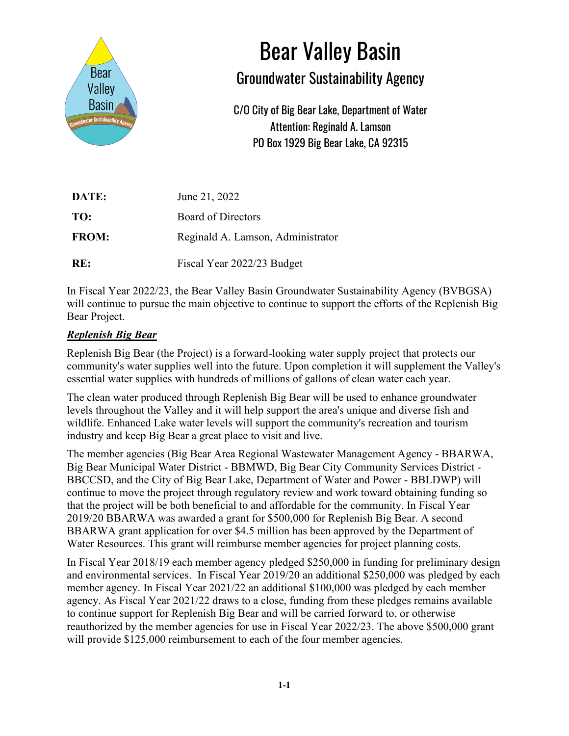

# Bear Valley Basin

## Groundwater Sustainability Agency

C/O City of Big Bear Lake, Department of Water Attention: Reginald A. Lamson PO Box 1929 Big Bear Lake, CA 92315

| DATE:        | June 21, 2022                     |
|--------------|-----------------------------------|
| TO:          | <b>Board of Directors</b>         |
| <b>FROM:</b> | Reginald A. Lamson, Administrator |
| RE:          | Fiscal Year 2022/23 Budget        |

In Fiscal Year 2022/23, the Bear Valley Basin Groundwater Sustainability Agency (BVBGSA) will continue to pursue the main objective to continue to support the efforts of the Replenish Big Bear Project.

### *Replenish Big Bear*

Replenish Big Bear (the Project) is a forward-looking water supply project that protects our community's water supplies well into the future. Upon completion it will supplement the Valley's essential water supplies with hundreds of millions of gallons of clean water each year.

The clean water produced through Replenish Big Bear will be used to enhance groundwater levels throughout the Valley and it will help support the area's unique and diverse fish and wildlife. Enhanced Lake water levels will support the community's recreation and tourism industry and keep Big Bear a great place to visit and live.

The member agencies (Big Bear Area Regional Wastewater Management Agency - BBARWA, Big Bear Municipal Water District - BBMWD, Big Bear City Community Services District - BBCCSD, and the City of Big Bear Lake, Department of Water and Power - BBLDWP) will continue to move the project through regulatory review and work toward obtaining funding so that the project will be both beneficial to and affordable for the community. In Fiscal Year 2019/20 BBARWA was awarded a grant for \$500,000 for Replenish Big Bear. A second BBARWA grant application for over \$4.5 million has been approved by the Department of Water Resources. This grant will reimburse member agencies for project planning costs.

In Fiscal Year 2018/19 each member agency pledged \$250,000 in funding for preliminary design and environmental services. In Fiscal Year 2019/20 an additional \$250,000 was pledged by each member agency. In Fiscal Year 2021/22 an additional \$100,000 was pledged by each member agency. As Fiscal Year 2021/22 draws to a close, funding from these pledges remains available to continue support for Replenish Big Bear and will be carried forward to, or otherwise reauthorized by the member agencies for use in Fiscal Year 2022/23. The above \$500,000 grant will provide \$125,000 reimbursement to each of the four member agencies.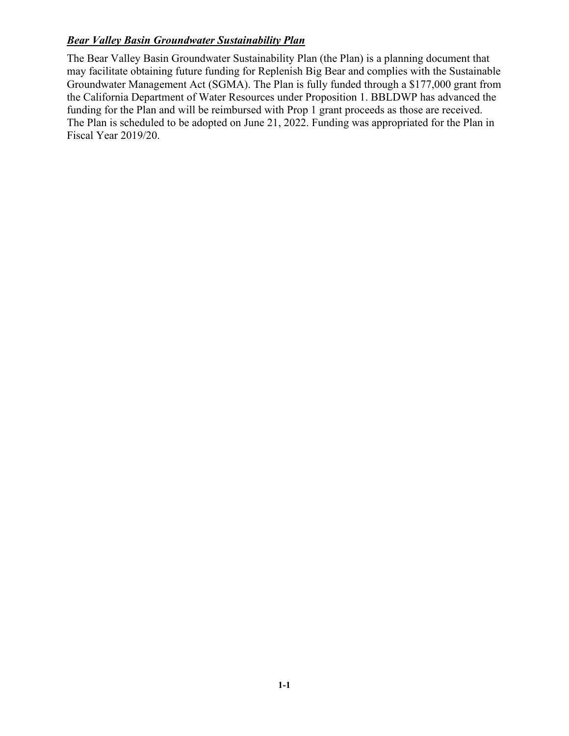### *Bear Valley Basin Groundwater Sustainability Plan*

The Bear Valley Basin Groundwater Sustainability Plan (the Plan) is a planning document that may facilitate obtaining future funding for Replenish Big Bear and complies with the Sustainable Groundwater Management Act (SGMA). The Plan is fully funded through a \$177,000 grant from the California Department of Water Resources under Proposition 1. BBLDWP has advanced the funding for the Plan and will be reimbursed with Prop 1 grant proceeds as those are received. The Plan is scheduled to be adopted on June 21, 2022. Funding was appropriated for the Plan in Fiscal Year 2019/20.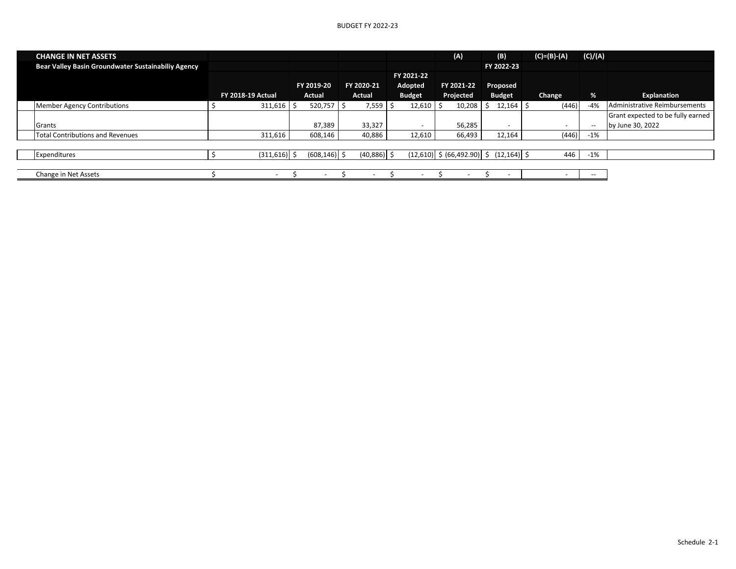| <b>CHANGE IN NET ASSETS</b>                        |                          |                          |                          |               |    | (A)                                          | (B)           | $(C)=(B)-(A)$ | (C)/(A) |                                   |
|----------------------------------------------------|--------------------------|--------------------------|--------------------------|---------------|----|----------------------------------------------|---------------|---------------|---------|-----------------------------------|
| Bear Valley Basin Groundwater Sustainabiliy Agency |                          |                          |                          |               |    |                                              | FY 2022-23    |               |         |                                   |
|                                                    |                          |                          |                          | FY 2021-22    |    |                                              |               |               |         |                                   |
|                                                    |                          | FY 2019-20               | FY 2020-21               | Adopted       |    | FY 2021-22                                   | Proposed      |               |         |                                   |
|                                                    | <b>FY 2018-19 Actual</b> | Actual                   | <b>Actual</b>            | <b>Budget</b> |    | Projected                                    | <b>Budget</b> | Change        | %       | Explanation                       |
| <b>Member Agency Contributions</b>                 | 311,616                  | 520,757                  | 7,559                    | 12,610        | -S | 10,208                                       | $12,164$ \$   | (446)         | $-4%$   | Administrative Reimbursements     |
|                                                    |                          |                          |                          |               |    |                                              |               |               |         | Grant expected to be fully earned |
| Grants                                             |                          | 87,389                   | 33,327                   |               |    | 56,285                                       |               |               | $-$     | by June 30, 2022                  |
| <b>Total Contributions and Revenues</b>            | 311,616                  | 608,146                  | 40,886                   | 12,610        |    | 66,493                                       | 12,164        | (446)         | $-1\%$  |                                   |
|                                                    |                          |                          |                          |               |    |                                              |               |               |         |                                   |
| Expenditures                                       | $(311,616)$ \$           | $(608, 146)$ \$          | $(40,886)$ \$            |               |    | $(12,610)$ \$ $(66,492.90)$ \$ $(12,164)$ \$ |               | 446           | $-1%$   |                                   |
|                                                    |                          |                          |                          |               |    |                                              |               |               |         |                                   |
| Change in Net Assets                               | $\overline{\phantom{0}}$ | $\overline{\phantom{a}}$ | $\overline{\phantom{a}}$ |               |    | $\overline{\phantom{0}}$                     |               |               | $- -$   |                                   |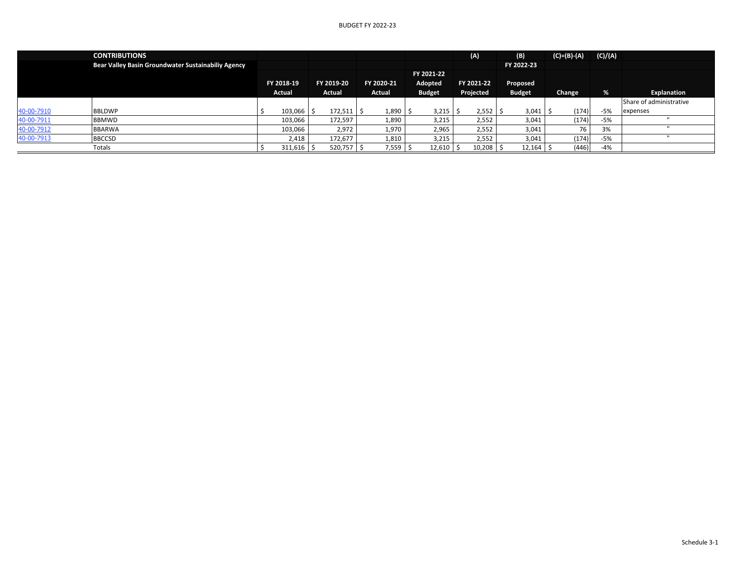|            | <b>CONTRIBUTIONS</b>                               |        |                |            |         |              |               |           | (A)        | (B)           | $(C)=(B)-(A)$ | (C)/(A) |                         |
|------------|----------------------------------------------------|--------|----------------|------------|---------|--------------|---------------|-----------|------------|---------------|---------------|---------|-------------------------|
|            | Bear Valley Basin Groundwater Sustainabiliy Agency |        |                |            |         |              |               |           |            | FY 2022-23    |               |         |                         |
|            |                                                    |        |                |            |         |              | FY 2021-22    |           |            |               |               |         |                         |
|            |                                                    |        | FY 2018-19     | FY 2019-20 |         | FY 2020-21   | Adopted       |           | FY 2021-22 | Proposed      |               |         |                         |
|            |                                                    | Actual |                | Actual     |         | Actual       | <b>Budget</b> | Projected |            | <b>Budget</b> | Change        | %       | Explanation             |
|            |                                                    |        |                |            |         |              |               |           |            |               |               |         | Share of administrative |
| 40-00-7910 | <b>BBLDWP</b>                                      |        | $103,066$   \$ |            | 172,511 | $1,890$   \$ | 3,215         |           | 2,552      | $3,041$   \$  | (174)         | -5%     | expenses                |
| 40-00-7911 | <b>BBMWD</b>                                       |        | 103,066        | 172,597    |         | 1,890        | 3,215         |           | 2,552      | 3,041         | (174)         | -5%     |                         |
| 40-00-7912 | <b>BBARWA</b>                                      |        | 103,066        |            | 2,972   | 1,970        | 2,965         |           | 2,552      | 3,041         | 76            | 3%      |                         |
| 40-00-7913 | <b>BBCCSD</b>                                      |        | 2,418          | 172,677    |         | 1,810        | 3,215         |           | 2,552      | 3,041         | (174)         | -5%     |                         |
|            | Totals                                             |        | $311,616$ \$   |            | 520,757 | 7,559        | 12,610        |           | 10,208     | 12,164        | (446)         | $-4%$   |                         |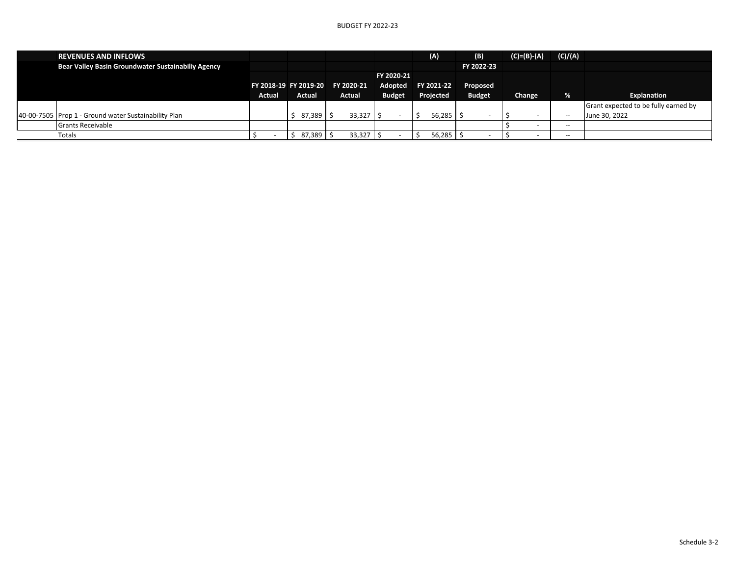| <b>REVENUES AND INFLOWS</b>                          |        |        |                                  |               | (A)        | (B)           | $(C)=(B)-(A)$ | (C)/(A) |                                      |
|------------------------------------------------------|--------|--------|----------------------------------|---------------|------------|---------------|---------------|---------|--------------------------------------|
| Bear Valley Basin Groundwater Sustainabiliy Agency   |        |        |                                  |               |            | FY 2022-23    |               |         |                                      |
|                                                      |        |        |                                  | FY 2020-21    |            |               |               |         |                                      |
|                                                      |        |        | FY 2018-19 FY 2019-20 FY 2020-21 | Adopted       | FY 2021-22 | Proposed      |               |         |                                      |
|                                                      | Actual | Actual | Actual                           | <b>Budget</b> | Projected  | <b>Budget</b> | Change        | %       | Explanation                          |
|                                                      |        |        |                                  |               |            |               |               |         | Grant expected to be fully earned by |
| 40-00-7505 Prop 1 - Ground water Sustainability Plan |        | 87,389 | 33,327                           |               | 56.285     |               |               | $- -$   | June 30, 2022                        |
| <b>Grants Receivable</b>                             |        |        |                                  |               |            |               |               | $- -$   |                                      |
| Totals                                               |        | 87,389 | 33,327                           |               | 56.285     |               |               | $- -$   |                                      |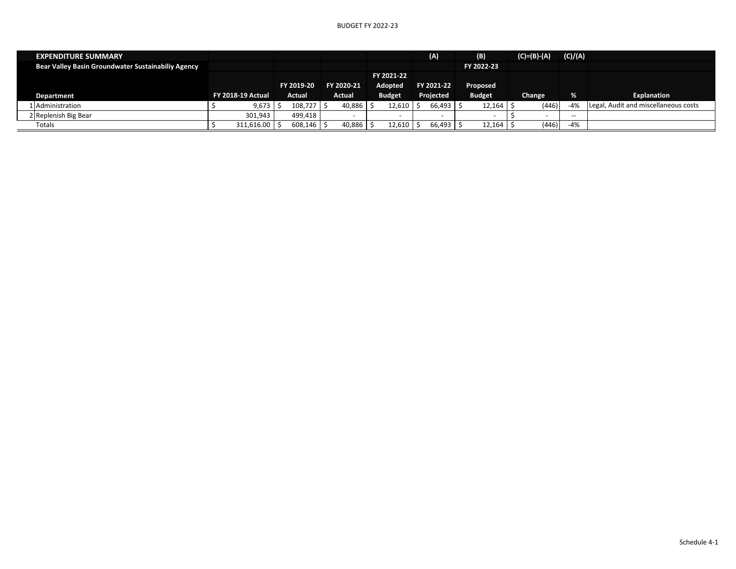| <b>EXPENDITURE SUMMARY</b>                         |  |                          |  |            |  |            |            |               |  | (A)                      |  | (B)           | $(C)=(B)-(A)$ | (C)/(A) |                                      |
|----------------------------------------------------|--|--------------------------|--|------------|--|------------|------------|---------------|--|--------------------------|--|---------------|---------------|---------|--------------------------------------|
| Bear Valley Basin Groundwater Sustainabiliy Agency |  |                          |  |            |  |            |            |               |  |                          |  | FY 2022-23    |               |         |                                      |
|                                                    |  |                          |  |            |  |            | FY 2021-22 |               |  |                          |  |               |               |         |                                      |
|                                                    |  |                          |  | FY 2019-20 |  | FY 2020-21 |            | Adopted       |  | FY 2021-22               |  | Proposed      |               |         |                                      |
| Department                                         |  | <b>FY 2018-19 Actual</b> |  | Actual     |  | Actual     |            | <b>Budget</b> |  | Projected                |  | <b>Budget</b> | Change        | %       | Explanation                          |
| 1 Administration                                   |  | 9,673                    |  | 108,727    |  | 40.886     |            | 12,610        |  | 66,493                   |  | 12.164        | (446)         | $-4%$   | Legal, Audit and miscellaneous costs |
| 2 Replenish Big Bear                               |  | 301,943                  |  | 499.418    |  |            |            |               |  | $\overline{\phantom{0}}$ |  |               |               | $- -$   |                                      |
| Totals                                             |  | $311,616.00$ S           |  | 608,146    |  | 40,886     |            | 12,610        |  | 66,493                   |  | 12,164        | (446)         | $-4%$   |                                      |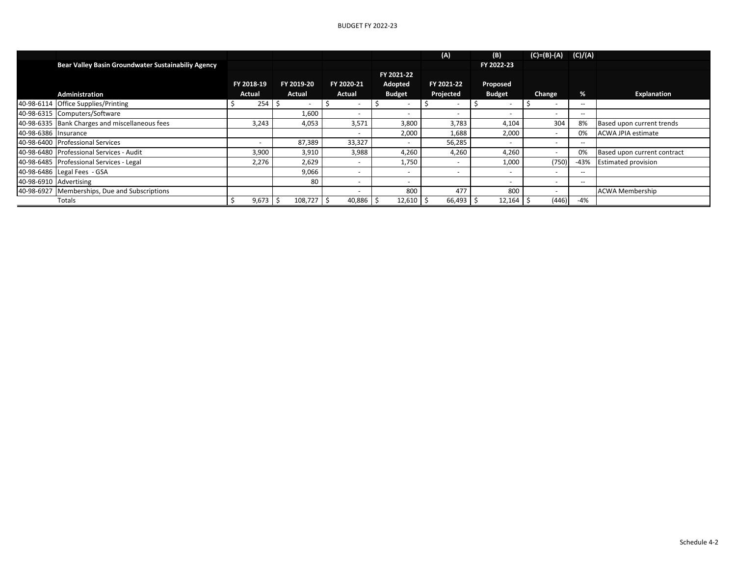|                        |                                                    |            |                                 |            |                          | (A)        | (B)                      | $(C)=(B)-(A)$            | (C)/(A)                  |                             |
|------------------------|----------------------------------------------------|------------|---------------------------------|------------|--------------------------|------------|--------------------------|--------------------------|--------------------------|-----------------------------|
|                        | Bear Valley Basin Groundwater Sustainabiliy Agency |            |                                 |            |                          |            | FY 2022-23               |                          |                          |                             |
|                        |                                                    |            |                                 |            | FY 2021-22               |            |                          |                          |                          |                             |
|                        |                                                    | FY 2018-19 | FY 2019-20                      | FY 2020-21 | Adopted                  | FY 2021-22 | Proposed                 |                          |                          |                             |
|                        | <b>Administration</b>                              | Actual     | Actual                          | Actual     | <b>Budget</b>            | Projected  | <b>Budget</b>            | Change                   | %                        | Explanation                 |
|                        | 40-98-6114 Office Supplies/Printing                | 254        | ı s<br>$\overline{\phantom{0}}$ |            |                          |            |                          | $\overline{\phantom{0}}$ | $\overline{\phantom{a}}$ |                             |
|                        | 40-98-6315 Computers/Software                      |            | 1,600                           |            | $\overline{\phantom{a}}$ |            |                          |                          | $- -$                    |                             |
|                        | 40-98-6335 Bank Charges and miscellaneous fees     | 3,243      | 4,053                           | 3,571      | 3,800                    | 3,783      | 4,104                    | 304                      | 8%                       | Based upon current trends   |
| 40-98-6386 Insurance   |                                                    |            |                                 |            | 2,000                    | 1,688      | 2,000                    | $\overline{\phantom{a}}$ | 0%                       | <b>ACWA JPIA estimate</b>   |
|                        | 40-98-6400 Professional Services                   |            | 87,389                          | 33,327     | $\overline{\phantom{a}}$ | 56,285     |                          |                          | $- -$                    |                             |
|                        | 40-98-6480 Professional Services - Audit           | 3,900      | 3,910                           | 3,988      | 4,260                    | 4,260      | 4,260                    | $\overline{\phantom{a}}$ | 0%                       | Based upon current contract |
|                        | 40-98-6485   Professional Services - Legal         | 2,276      | 2,629                           |            | 1,750                    | -          | 1,000                    | (750)                    | -43%                     | <b>Estimated provision</b>  |
|                        | 40-98-6486 Legal Fees - GSA                        |            | 9,066                           |            | $\overline{\phantom{a}}$ |            |                          |                          |                          |                             |
| 40-98-6910 Advertising |                                                    |            | 80                              |            | $\overline{\phantom{0}}$ |            | $\overline{\phantom{0}}$ | $\overline{\phantom{a}}$ | $\sim$ $\sim$            |                             |
|                        | 40-98-6927 Memberships, Due and Subscriptions      |            |                                 |            | 800                      | 477        | 800                      |                          |                          | <b>ACWA Membership</b>      |
|                        | Totals                                             | $9,673$ \$ | 108,727                         | 40,886     | 12,610                   | 66,493     | 12,164                   | (446)                    | $-4%$                    |                             |